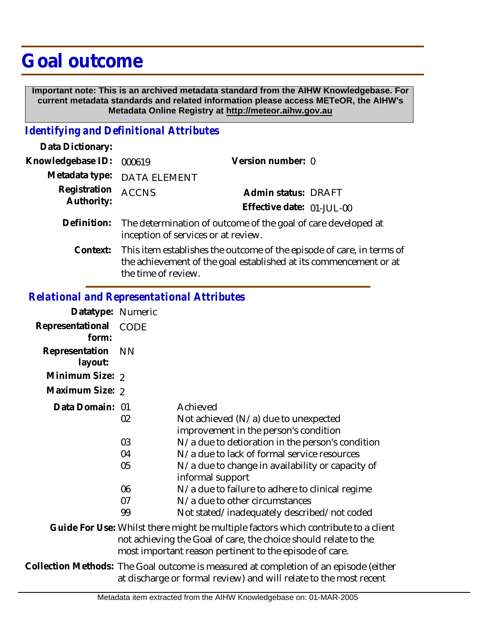## **Goal outcome**

 **Important note: This is an archived metadata standard from the AIHW Knowledgebase. For current metadata standards and related information please access METeOR, the AIHW's Metadata Online Registry at http://meteor.aihw.gov.au**

## *Identifying and Definitional Attributes*

| Data Dictionary:           |                                                                                                                                                                   |                           |  |
|----------------------------|-------------------------------------------------------------------------------------------------------------------------------------------------------------------|---------------------------|--|
| Knowledgebase ID:          | 000619                                                                                                                                                            | Version number: 0         |  |
| Metadata type:             | <b>DATA ELEMENT</b>                                                                                                                                               |                           |  |
| Registration<br>Authority: | <b>ACCNS</b>                                                                                                                                                      | Admin status: DRAFT       |  |
|                            |                                                                                                                                                                   | Effective date: 01-JUL-00 |  |
| Definition:                | The determination of outcome of the goal of care developed at<br>inception of services or at review.                                                              |                           |  |
| Context:                   | This item establishes the outcome of the episode of care, in terms of<br>the achievement of the goal established at its commencement or at<br>the time of review. |                           |  |

## *Relational and Representational Attributes*

| Datatype: Numeric         |                                                                                                                                                                                                                  |                                                                                                                                  |
|---------------------------|------------------------------------------------------------------------------------------------------------------------------------------------------------------------------------------------------------------|----------------------------------------------------------------------------------------------------------------------------------|
| Representational<br>form: | CODE                                                                                                                                                                                                             |                                                                                                                                  |
| Representation<br>layout: | <b>NN</b>                                                                                                                                                                                                        |                                                                                                                                  |
| Minimum Size: 2           |                                                                                                                                                                                                                  |                                                                                                                                  |
| Maximum Size: 2           |                                                                                                                                                                                                                  |                                                                                                                                  |
| Data Domain: 01           | 02                                                                                                                                                                                                               | Achieved<br>Not achieved (N/a) due to unexpected<br>improvement in the person's condition                                        |
|                           | 03<br>04                                                                                                                                                                                                         | N/a due to detioration in the person's condition<br>N/a due to lack of formal service resources                                  |
|                           | 05                                                                                                                                                                                                               | N/a due to change in availability or capacity of<br>informal support                                                             |
|                           | 06<br>07<br>99                                                                                                                                                                                                   | N/a due to failure to adhere to clinical regime<br>N/a due to other circumstances<br>Not stated/inadequately described/not coded |
|                           | Guide For Use: Whilst there might be multiple factors which contribute to a client<br>not achieving the Goal of care, the choice should relate to the<br>most important reason pertinent to the episode of care. |                                                                                                                                  |
|                           | Collection Methods: The Goal outcome is measured at completion of an episode (either<br>at discharge or formal review) and will relate to the most recent                                                        |                                                                                                                                  |